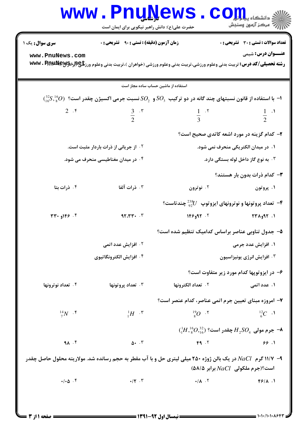|                                                                                                                                                           | <b>www.PnuNews</b><br>حضرت علی(ع): دانش راهبر نیکویی برای ایمان است                                                                    |                                                                    | $\mathbf{COII}_{\text{max}}$<br>رآب المركز آزمون وسنجش |  |
|-----------------------------------------------------------------------------------------------------------------------------------------------------------|----------------------------------------------------------------------------------------------------------------------------------------|--------------------------------------------------------------------|--------------------------------------------------------|--|
| <b>سری سوال :</b> یک ۱                                                                                                                                    | زمان آزمون (دقیقه) : تستی : ۹۰٪ تشریحی : ۰                                                                                             |                                                                    | <b>تعداد سوالات : تستی : 30 ٪ تشریحی : 0</b>           |  |
| www.PnuNews.com                                                                                                                                           | <b>رشته تحصیلی/کد درس:</b> تربیت بدنی وعلوم ورزشی،تربیت بدنی وعلوم ورزشی (خواهران )،تربیت بدنی وعلوم ورز <b>تلچ(براهMwv . RnµNey ب</b> |                                                                    | <b>عنـــوان درس:</b> شیمی                              |  |
|                                                                                                                                                           | استفاده از ماشین حساب ساده مجاز است                                                                                                    |                                                                    |                                                        |  |
| $\binom{32}{16}$ با استفاده از قانون نسبتهای چند گانه در دو ترکیب $S O_{_2}$ و $S O_{_2}$ نسبت جرمی اکسیژن چقدر است؟ $( \frac{32}{16} S, \frac{16}{8} O)$ |                                                                                                                                        |                                                                    |                                                        |  |
| $2 \cdot$ ۴                                                                                                                                               | $rac{3}{2}$ . r                                                                                                                        | $\frac{1}{3}$ $\cdot$ $\cdot$                                      | $\frac{1}{2}$ $\cdot$ <sup>1</sup>                     |  |
|                                                                                                                                                           |                                                                                                                                        | ۲- کدام گزینه در مورد اشعه کاتدی صحیح است؟                         |                                                        |  |
| <b>۲ . از جریانی از ذرات باردار مثبت است.</b>                                                                                                             |                                                                                                                                        |                                                                    | ١. در ميدان الكتريكي منحرف نمي شود.                    |  |
| ۰۴ در میدان مغناطیسی منحرف می شود.                                                                                                                        |                                                                                                                                        | ۰۳ به نوع گاز داخل لوله بستگی دارد.                                |                                                        |  |
|                                                                                                                                                           |                                                                                                                                        |                                                                    | <b>۳</b> - کدام ذرات بدون بار هستند؟                   |  |
| ۰۴ ذرات بتا                                                                                                                                               | ۰۳ ذرات آلفا                                                                                                                           | ۰۲ نوترون                                                          | ۰۱ پروتون                                              |  |
|                                                                                                                                                           |                                                                                                                                        | - تعداد پروتونها و نوترونهای ایزوتوپ $U$ و چندتاست $^2$            |                                                        |  |
| 77.919.7                                                                                                                                                  | 97.77.7                                                                                                                                | $Y^{\epsilon}$ ۲۰ ۱۴۶ م                                            | ۰۱. ۹۲و۲۳۸                                             |  |
|                                                                                                                                                           |                                                                                                                                        | ۵– جدول تناوبی عناصر براساس کدامیک تنظیم شده است؟                  |                                                        |  |
| ۰۲ افزایش عدد اتم <u>ی</u>                                                                                                                                |                                                                                                                                        |                                                                    | ۰۱ افزایش عدد جرمی                                     |  |
|                                                                                                                                                           | ۰۴ افزایش الکترونگاتیوی                                                                                                                | ۰۳ افزایش انرژی یونیزاسیون                                         |                                                        |  |
|                                                                                                                                                           |                                                                                                                                        |                                                                    | ۶- در ایزوتوپها کدام مورد زیر متفاوت است؟              |  |
| ۰۴ تعداد نوترونها                                                                                                                                         | ۰۳ تعداد پروتونها                                                                                                                      | <b>7. تعداد الكترونها</b>                                          | ۱. عدد اتمی                                            |  |
|                                                                                                                                                           |                                                                                                                                        | ٧- امروزه مبناي تعيين جرم اتمى عناصر، كدام عنصر است؟               |                                                        |  |
| $\frac{14}{7}N$ . $\zeta$                                                                                                                                 | $\frac{1}{1}H^{-1}$                                                                                                                    | $^{19}_{8}O$ . $5$                                                 | $^{12}_{6}C$ .                                         |  |
|                                                                                                                                                           |                                                                                                                                        | $(^1H,^{16}_{8}O,^{32}_{16})$ جرم مولی $H^{}_2SO_4$ چقدر است؟ $^1$ |                                                        |  |
| 91.7                                                                                                                                                      | $\Delta$ + $\cdot$ $\cdot$ $\cdot$                                                                                                     | FA.7                                                               | 99.1                                                   |  |
|                                                                                                                                                           | ۹- ۱۱/۷ گرم $\,NaCl$ در یک بالن ژوژه ۲۵۰ میلی لیتری حل و با آب مقطر به حجم رسانده شد. مولاریته محلول حاصل چقدر                         |                                                                    | (۱۸/۵ ملکولی NaCl برابر ۱۸/۵)                          |  |
| $\cdot/\cdot \Delta$ . ۴                                                                                                                                  | $\cdot/\tau$ . $\tau$                                                                                                                  | $\bullet/\Lambda$ . $\Upsilon$                                     | $F9/\Lambda$ .                                         |  |
|                                                                                                                                                           |                                                                                                                                        |                                                                    |                                                        |  |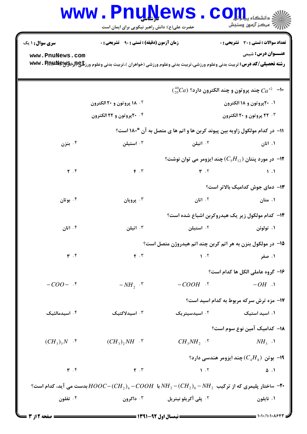| <b>www.PnuNews</b><br>. CO<br>ی دانشکاه پی <mark>ا یا ب</mark>                                                                                                                         |                                                   |                                  |                                                                                                |  |  |
|----------------------------------------------------------------------------------------------------------------------------------------------------------------------------------------|---------------------------------------------------|----------------------------------|------------------------------------------------------------------------------------------------|--|--|
|                                                                                                                                                                                        | حضرت علی(ع): دانش راهبر نیکویی برای ایمان است     |                                  | رِ ۖ مرڪز آزمون وسنڊش                                                                          |  |  |
| <b>سری سوال : ۱ یک</b>                                                                                                                                                                 | <b>زمان آزمون (دقیقه) : تستی : ۹۰٪ تشریحی : 0</b> |                                  | تعداد سوالات : تستي : 30 ٪ تشريحي : 0                                                          |  |  |
| <b>عنـــوان درس:</b> شیمی<br>www.PnuNews.com<br><b>رشته تحصیلی/کد درس:</b> تربیت بدنی وعلوم ورزشی،تربیت بدنی وعلوم ورزشی (خواهران )،تربیت بدنی وعلوم ورز <b>تلچ(براد؟\wwv . RnµNew</b> |                                                   |                                  |                                                                                                |  |  |
|                                                                                                                                                                                        |                                                   |                                  | $\binom{40}{20}Ca$ چند پروتون و چند الکترون دارد؟ $Ca^{+2}$                                    |  |  |
|                                                                                                                                                                                        | <b>18 . ۱۸ پروتون و ۲۰ الکترون</b>                |                                  | ۰۱ ۲۰پروتون و ۱۸ الکترون                                                                       |  |  |
|                                                                                                                                                                                        | ۰۴ ۲۴پروتون و ۲۲ الکترون                          |                                  | ۰۳ ۲۲ پروتون و ۲۰ الکترون                                                                      |  |  |
|                                                                                                                                                                                        |                                                   |                                  | 11− در کدام مولکول زاویه بین پیوند کربن ها و اتم ها ی متصل به آن °۱۸۰ است؟                     |  |  |
| ۰۴ بنزن                                                                                                                                                                                | ۰۳ استیلن                                         | ۰۲ اتیلن                         | ۰۱ اتان                                                                                        |  |  |
|                                                                                                                                                                                        |                                                   |                                  | °ا–  در مورد پنتان $(C_{5}H_{12})$ چند ایزومر می توان نوشت $\blacksquare$                      |  |  |
| $\mathbf{r}$ . $\mathbf{r}$                                                                                                                                                            | $F \cdot Y$                                       | $Y \cdot Y$                      | $\mathcal{N}$ .                                                                                |  |  |
|                                                                                                                                                                                        |                                                   |                                  | ۱۳- دمای جوش کدامیک بالاتر است؟                                                                |  |  |
| ۰۴ بوتان                                                                                                                                                                               | ۰۳ پروپان                                         | ۰۲ اتان                          | ۰۱ متان                                                                                        |  |  |
|                                                                                                                                                                                        |                                                   |                                  | <b>۱۴</b> - کدام مولکول زیر یک هیدروکربن اشباع شده است؟                                        |  |  |
| ۰۴ اتان                                                                                                                                                                                | ۰۳ اتیلن                                          | ۰۲ استیلن                        | ۰۱ تولوئن                                                                                      |  |  |
|                                                                                                                                                                                        |                                                   |                                  | ۱۵– در مولکول بنزن به هر اتم کربن چند اتم هیدروژن متصل است؟                                    |  |  |
| $\mathbf{r}$ . $\mathbf{r}$                                                                                                                                                            | $\mathbf{Y} \cdot \mathbf{Y}$                     | 1.7                              | ۰۱ صفر                                                                                         |  |  |
|                                                                                                                                                                                        |                                                   |                                  | ۱۶- گروه عاملی الکل ها کدام است؟                                                               |  |  |
| $-COO-$ . $\uparrow$                                                                                                                                                                   | $-NH_2$ $\cdot$ $\cdot$                           | $-COOH$ .                        | $-OH$ .                                                                                        |  |  |
|                                                                                                                                                                                        |                                                   |                                  | 17- مزه ترش سرکه مربوط به کدام اسید است؟                                                       |  |  |
| ۰۴ اسیدمالئیک                                                                                                                                                                          | ۰۳ اسیدلاکتیک                                     | ۰۲ اسیدسیتریک                    | ۰۱ اسید استیک                                                                                  |  |  |
|                                                                                                                                                                                        |                                                   |                                  |                                                                                                |  |  |
| $(CH_3)_3N$ .                                                                                                                                                                          | $(CH_3)$ , $NH \cdot$ "                           | $CH_3NH_2$ .                     | ۱۸– کدامیک آمین نوع سوم است؟<br>$NH3$ .                                                        |  |  |
|                                                                                                                                                                                        |                                                   |                                  |                                                                                                |  |  |
|                                                                                                                                                                                        |                                                   |                                  | 9- بوتن $(C_{\scriptscriptstyle{A}}H_{\scriptscriptstyle{8}})$ چند ایزومر هندسی دارد ${\sf P}$ |  |  |
| $\mathbf{r}$ . $\mathbf{r}$                                                                                                                                                            | $\mathbf{Y} \cdot \mathbf{Y}$                     | $\mathbf{1} \cdot \mathbf{1}$    | $\Delta$ .                                                                                     |  |  |
| ۰۴− ساختار پلیمری که از ترکیب $NH_{2-}(CH_{2})_{6}-NH_{2}$ با $COOH$ ۷۰ با $C-CCH_{2})_{4}-COOH$ بدست می آید، کدام است؟ $\bullet$                                                      |                                                   |                                  |                                                                                                |  |  |
| ۰۴ تفلون                                                                                                                                                                               | داکرون $\cdot$ "                                  | <sup>۲</sup> ۰ پلی آکریلو نیتریل | ۰۱ نايلون                                                                                      |  |  |